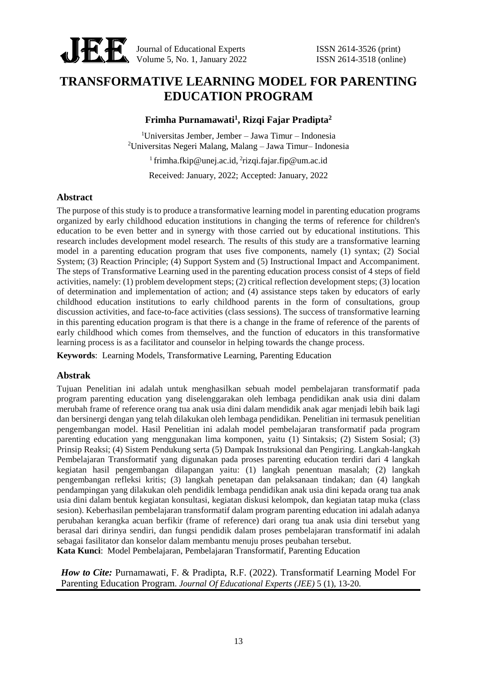

Journal of Educational Experts ISSN 2614-3526 (print) Volume 5, No. 1, January 2022 **ISSN** 2614-3518 (online)

# **TRANSFORMATIVE LEARNING MODEL FOR PARENTING EDUCATION PROGRAM**

# **Frimha Purnamawati<sup>1</sup> , Rizqi Fajar Pradipta<sup>2</sup>**

<sup>1</sup>Universitas Jember, Jember – Jawa Timur – Indonesia <sup>2</sup>Universitas Negeri Malang, Malang – Jawa Timur– Indonesia

<sup>1</sup> frimha.fkip@unej.ac.id, <sup>2</sup>rizqi.fajar.fip@um.ac.id

Received: January, 2022; Accepted: January, 2022

#### **Abstract**

The purpose of this study is to produce a transformative learning model in parenting education programs organized by early childhood education institutions in changing the terms of reference for children's education to be even better and in synergy with those carried out by educational institutions. This research includes development model research. The results of this study are a transformative learning model in a parenting education program that uses five components, namely (1) syntax; (2) Social System; (3) Reaction Principle; (4) Support System and (5) Instructional Impact and Accompaniment. The steps of Transformative Learning used in the parenting education process consist of 4 steps of field activities, namely: (1) problem development steps; (2) critical reflection development steps; (3) location of determination and implementation of action; and (4) assistance steps taken by educators of early childhood education institutions to early childhood parents in the form of consultations, group discussion activities, and face-to-face activities (class sessions). The success of transformative learning in this parenting education program is that there is a change in the frame of reference of the parents of early childhood which comes from themselves, and the function of educators in this transformative learning process is as a facilitator and counselor in helping towards the change process.

**Keywords**: Learning Models, Transformative Learning, Parenting Education

## **Abstrak**

Tujuan Penelitian ini adalah untuk menghasilkan sebuah model pembelajaran transformatif pada program parenting education yang diselenggarakan oleh lembaga pendidikan anak usia dini dalam merubah frame of reference orang tua anak usia dini dalam mendidik anak agar menjadi lebih baik lagi dan bersinergi dengan yang telah dilakukan oleh lembaga pendidikan. Penelitian ini termasuk penelitian pengembangan model. Hasil Penelitian ini adalah model pembelajaran transformatif pada program parenting education yang menggunakan lima komponen, yaitu (1) Sintaksis; (2) Sistem Sosial; (3) Prinsip Reaksi; (4) Sistem Pendukung serta (5) Dampak Instruksional dan Pengiring. Langkah-langkah Pembelajaran Transformatif yang digunakan pada proses parenting education terdiri dari 4 langkah kegiatan hasil pengembangan dilapangan yaitu: (1) langkah penentuan masalah; (2) langkah pengembangan refleksi kritis; (3) langkah penetapan dan pelaksanaan tindakan; dan (4) langkah pendampingan yang dilakukan oleh pendidik lembaga pendidikan anak usia dini kepada orang tua anak usia dini dalam bentuk kegiatan konsultasi, kegiatan diskusi kelompok, dan kegiatan tatap muka (class sesion). Keberhasilan pembelajaran transformatif dalam program parenting education ini adalah adanya perubahan kerangka acuan berfikir (frame of reference) dari orang tua anak usia dini tersebut yang berasal dari dirinya sendiri, dan fungsi pendidik dalam proses pembelajaran transformatif ini adalah sebagai fasilitator dan konselor dalam membantu menuju proses peubahan tersebut. **Kata Kunci**: Model Pembelajaran, Pembelajaran Transformatif, Parenting Education

*How to Cite: Purnamawati, F. & Pradipta, R.F. (2022). Transformatif Learning Model For* Parenting Education Program. *Journal Of Educational Experts (JEE)* 5 (1), 13-20.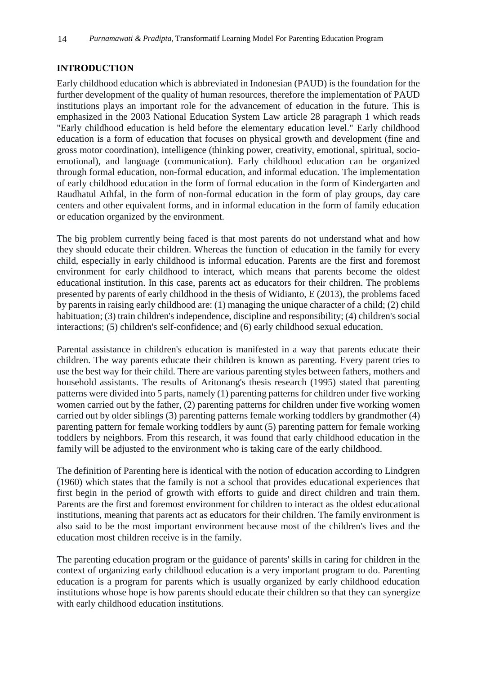# **INTRODUCTION**

Early childhood education which is abbreviated in Indonesian (PAUD) is the foundation for the further development of the quality of human resources, therefore the implementation of PAUD institutions plays an important role for the advancement of education in the future. This is emphasized in the 2003 National Education System Law article 28 paragraph 1 which reads "Early childhood education is held before the elementary education level." Early childhood education is a form of education that focuses on physical growth and development (fine and gross motor coordination), intelligence (thinking power, creativity, emotional, spiritual, socioemotional), and language (communication). Early childhood education can be organized through formal education, non-formal education, and informal education. The implementation of early childhood education in the form of formal education in the form of Kindergarten and Raudhatul Athfal, in the form of non-formal education in the form of play groups, day care centers and other equivalent forms, and in informal education in the form of family education or education organized by the environment.

The big problem currently being faced is that most parents do not understand what and how they should educate their children. Whereas the function of education in the family for every child, especially in early childhood is informal education. Parents are the first and foremost environment for early childhood to interact, which means that parents become the oldest educational institution. In this case, parents act as educators for their children. The problems presented by parents of early childhood in the thesis of Widianto, E (2013), the problems faced by parents in raising early childhood are: (1) managing the unique character of a child; (2) child habituation; (3) train children's independence, discipline and responsibility; (4) children's social interactions; (5) children's self-confidence; and (6) early childhood sexual education.

Parental assistance in children's education is manifested in a way that parents educate their children. The way parents educate their children is known as parenting. Every parent tries to use the best way for their child. There are various parenting styles between fathers, mothers and household assistants. The results of Aritonang's thesis research (1995) stated that parenting patterns were divided into 5 parts, namely (1) parenting patterns for children under five working women carried out by the father, (2) parenting patterns for children under five working women carried out by older siblings (3) parenting patterns female working toddlers by grandmother (4) parenting pattern for female working toddlers by aunt (5) parenting pattern for female working toddlers by neighbors. From this research, it was found that early childhood education in the family will be adjusted to the environment who is taking care of the early childhood.

The definition of Parenting here is identical with the notion of education according to Lindgren (1960) which states that the family is not a school that provides educational experiences that first begin in the period of growth with efforts to guide and direct children and train them. Parents are the first and foremost environment for children to interact as the oldest educational institutions, meaning that parents act as educators for their children. The family environment is also said to be the most important environment because most of the children's lives and the education most children receive is in the family.

The parenting education program or the guidance of parents' skills in caring for children in the context of organizing early childhood education is a very important program to do. Parenting education is a program for parents which is usually organized by early childhood education institutions whose hope is how parents should educate their children so that they can synergize with early childhood education institutions.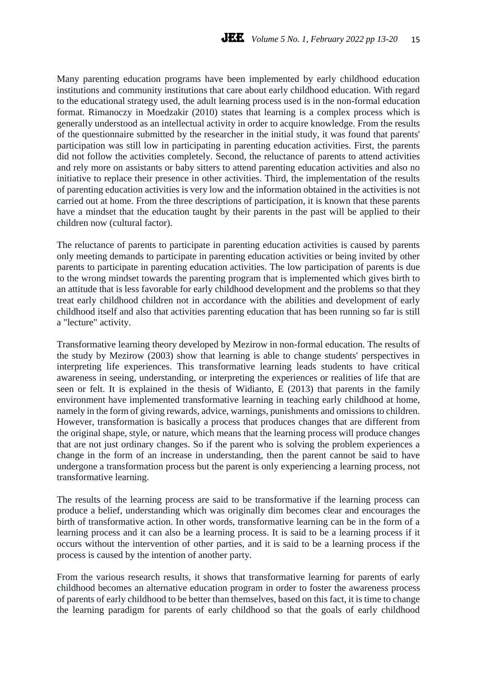Many parenting education programs have been implemented by early childhood education institutions and community institutions that care about early childhood education. With regard to the educational strategy used, the adult learning process used is in the non-formal education format. Rimanoczy in Moedzakir (2010) states that learning is a complex process which is generally understood as an intellectual activity in order to acquire knowledge. From the results of the questionnaire submitted by the researcher in the initial study, it was found that parents' participation was still low in participating in parenting education activities. First, the parents did not follow the activities completely. Second, the reluctance of parents to attend activities and rely more on assistants or baby sitters to attend parenting education activities and also no initiative to replace their presence in other activities. Third, the implementation of the results of parenting education activities is very low and the information obtained in the activities is not carried out at home. From the three descriptions of participation, it is known that these parents have a mindset that the education taught by their parents in the past will be applied to their children now (cultural factor).

The reluctance of parents to participate in parenting education activities is caused by parents only meeting demands to participate in parenting education activities or being invited by other parents to participate in parenting education activities. The low participation of parents is due to the wrong mindset towards the parenting program that is implemented which gives birth to an attitude that is less favorable for early childhood development and the problems so that they treat early childhood children not in accordance with the abilities and development of early childhood itself and also that activities parenting education that has been running so far is still a "lecture" activity.

Transformative learning theory developed by Mezirow in non-formal education. The results of the study by Mezirow (2003) show that learning is able to change students' perspectives in interpreting life experiences. This transformative learning leads students to have critical awareness in seeing, understanding, or interpreting the experiences or realities of life that are seen or felt. It is explained in the thesis of Widianto, E (2013) that parents in the family environment have implemented transformative learning in teaching early childhood at home, namely in the form of giving rewards, advice, warnings, punishments and omissions to children. However, transformation is basically a process that produces changes that are different from the original shape, style, or nature, which means that the learning process will produce changes that are not just ordinary changes. So if the parent who is solving the problem experiences a change in the form of an increase in understanding, then the parent cannot be said to have undergone a transformation process but the parent is only experiencing a learning process, not transformative learning.

The results of the learning process are said to be transformative if the learning process can produce a belief, understanding which was originally dim becomes clear and encourages the birth of transformative action. In other words, transformative learning can be in the form of a learning process and it can also be a learning process. It is said to be a learning process if it occurs without the intervention of other parties, and it is said to be a learning process if the process is caused by the intention of another party.

From the various research results, it shows that transformative learning for parents of early childhood becomes an alternative education program in order to foster the awareness process of parents of early childhood to be better than themselves, based on this fact, it is time to change the learning paradigm for parents of early childhood so that the goals of early childhood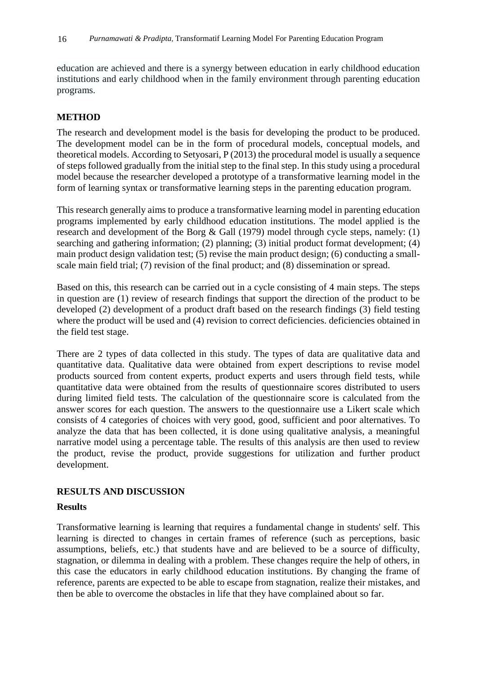education are achieved and there is a synergy between education in early childhood education institutions and early childhood when in the family environment through parenting education programs.

# **METHOD**

The research and development model is the basis for developing the product to be produced. The development model can be in the form of procedural models, conceptual models, and theoretical models. According to Setyosari, P (2013) the procedural model is usually a sequence of steps followed gradually from the initial step to the final step. In this study using a procedural model because the researcher developed a prototype of a transformative learning model in the form of learning syntax or transformative learning steps in the parenting education program.

This research generally aims to produce a transformative learning model in parenting education programs implemented by early childhood education institutions. The model applied is the research and development of the Borg & Gall (1979) model through cycle steps, namely: (1) searching and gathering information; (2) planning; (3) initial product format development; (4) main product design validation test; (5) revise the main product design; (6) conducting a smallscale main field trial; (7) revision of the final product; and (8) dissemination or spread.

Based on this, this research can be carried out in a cycle consisting of 4 main steps. The steps in question are (1) review of research findings that support the direction of the product to be developed (2) development of a product draft based on the research findings (3) field testing where the product will be used and (4) revision to correct deficiencies. deficiencies obtained in the field test stage.

There are 2 types of data collected in this study. The types of data are qualitative data and quantitative data. Qualitative data were obtained from expert descriptions to revise model products sourced from content experts, product experts and users through field tests, while quantitative data were obtained from the results of questionnaire scores distributed to users during limited field tests. The calculation of the questionnaire score is calculated from the answer scores for each question. The answers to the questionnaire use a Likert scale which consists of 4 categories of choices with very good, good, sufficient and poor alternatives. To analyze the data that has been collected, it is done using qualitative analysis, a meaningful narrative model using a percentage table. The results of this analysis are then used to review the product, revise the product, provide suggestions for utilization and further product development.

## **RESULTS AND DISCUSSION**

## **Results**

Transformative learning is learning that requires a fundamental change in students' self. This learning is directed to changes in certain frames of reference (such as perceptions, basic assumptions, beliefs, etc.) that students have and are believed to be a source of difficulty, stagnation, or dilemma in dealing with a problem. These changes require the help of others, in this case the educators in early childhood education institutions. By changing the frame of reference, parents are expected to be able to escape from stagnation, realize their mistakes, and then be able to overcome the obstacles in life that they have complained about so far.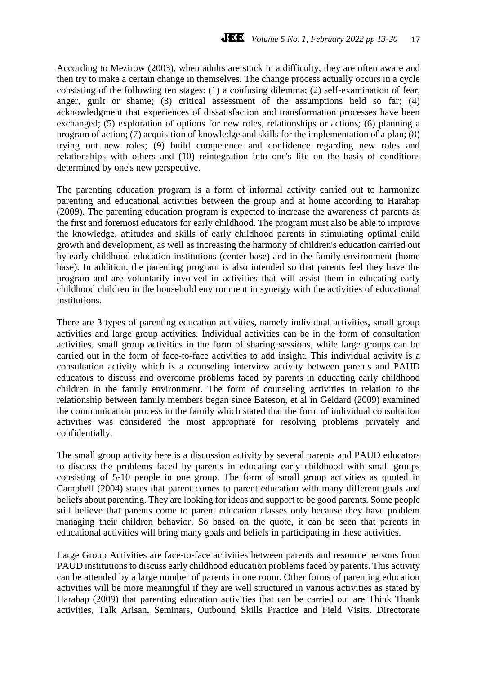According to Mezirow (2003), when adults are stuck in a difficulty, they are often aware and then try to make a certain change in themselves. The change process actually occurs in a cycle consisting of the following ten stages: (1) a confusing dilemma; (2) self-examination of fear, anger, guilt or shame; (3) critical assessment of the assumptions held so far; (4) acknowledgment that experiences of dissatisfaction and transformation processes have been exchanged; (5) exploration of options for new roles, relationships or actions; (6) planning a program of action; (7) acquisition of knowledge and skills for the implementation of a plan; (8) trying out new roles; (9) build competence and confidence regarding new roles and relationships with others and (10) reintegration into one's life on the basis of conditions determined by one's new perspective.

The parenting education program is a form of informal activity carried out to harmonize parenting and educational activities between the group and at home according to Harahap (2009). The parenting education program is expected to increase the awareness of parents as the first and foremost educators for early childhood. The program must also be able to improve the knowledge, attitudes and skills of early childhood parents in stimulating optimal child growth and development, as well as increasing the harmony of children's education carried out by early childhood education institutions (center base) and in the family environment (home base). In addition, the parenting program is also intended so that parents feel they have the program and are voluntarily involved in activities that will assist them in educating early childhood children in the household environment in synergy with the activities of educational institutions.

There are 3 types of parenting education activities, namely individual activities, small group activities and large group activities. Individual activities can be in the form of consultation activities, small group activities in the form of sharing sessions, while large groups can be carried out in the form of face-to-face activities to add insight. This individual activity is a consultation activity which is a counseling interview activity between parents and PAUD educators to discuss and overcome problems faced by parents in educating early childhood children in the family environment. The form of counseling activities in relation to the relationship between family members began since Bateson, et al in Geldard (2009) examined the communication process in the family which stated that the form of individual consultation activities was considered the most appropriate for resolving problems privately and confidentially.

The small group activity here is a discussion activity by several parents and PAUD educators to discuss the problems faced by parents in educating early childhood with small groups consisting of 5-10 people in one group. The form of small group activities as quoted in Campbell (2004) states that parent comes to parent education with many different goals and beliefs about parenting. They are looking for ideas and support to be good parents. Some people still believe that parents come to parent education classes only because they have problem managing their children behavior. So based on the quote, it can be seen that parents in educational activities will bring many goals and beliefs in participating in these activities.

Large Group Activities are face-to-face activities between parents and resource persons from PAUD institutions to discuss early childhood education problems faced by parents. This activity can be attended by a large number of parents in one room. Other forms of parenting education activities will be more meaningful if they are well structured in various activities as stated by Harahap (2009) that parenting education activities that can be carried out are Think Thank activities, Talk Arisan, Seminars, Outbound Skills Practice and Field Visits. Directorate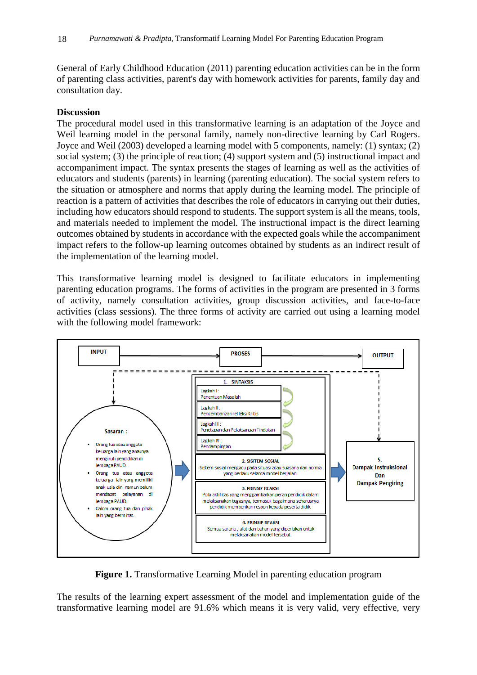General of Early Childhood Education (2011) parenting education activities can be in the form of parenting class activities, parent's day with homework activities for parents, family day and consultation day.

#### **Discussion**

The procedural model used in this transformative learning is an adaptation of the Joyce and Weil learning model in the personal family, namely non-directive learning by Carl Rogers. Joyce and Weil (2003) developed a learning model with 5 components, namely: (1) syntax; (2) social system; (3) the principle of reaction; (4) support system and (5) instructional impact and accompaniment impact. The syntax presents the stages of learning as well as the activities of educators and students (parents) in learning (parenting education). The social system refers to the situation or atmosphere and norms that apply during the learning model. The principle of reaction is a pattern of activities that describes the role of educators in carrying out their duties, including how educators should respond to students. The support system is all the means, tools, and materials needed to implement the model. The instructional impact is the direct learning outcomes obtained by students in accordance with the expected goals while the accompaniment impact refers to the follow-up learning outcomes obtained by students as an indirect result of the implementation of the learning model.

This transformative learning model is designed to facilitate educators in implementing parenting education programs. The forms of activities in the program are presented in 3 forms of activity, namely consultation activities, group discussion activities, and face-to-face activities (class sessions). The three forms of activity are carried out using a learning model with the following model framework:



**Figure 1.** Transformative Learning Model in parenting education program

The results of the learning expert assessment of the model and implementation guide of the transformative learning model are 91.6% which means it is very valid, very effective, very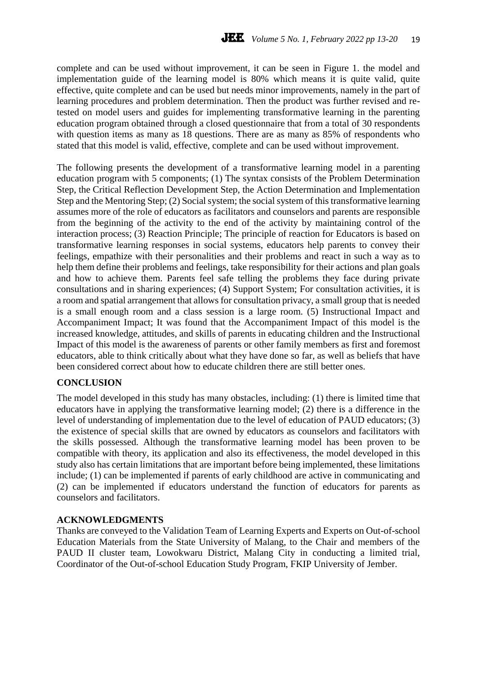complete and can be used without improvement, it can be seen in Figure 1. the model and implementation guide of the learning model is 80% which means it is quite valid, quite effective, quite complete and can be used but needs minor improvements, namely in the part of learning procedures and problem determination. Then the product was further revised and retested on model users and guides for implementing transformative learning in the parenting education program obtained through a closed questionnaire that from a total of 30 respondents with question items as many as 18 questions. There are as many as 85% of respondents who stated that this model is valid, effective, complete and can be used without improvement.

The following presents the development of a transformative learning model in a parenting education program with 5 components; (1) The syntax consists of the Problem Determination Step, the Critical Reflection Development Step, the Action Determination and Implementation Step and the Mentoring Step; (2) Social system; the social system of this transformative learning assumes more of the role of educators as facilitators and counselors and parents are responsible from the beginning of the activity to the end of the activity by maintaining control of the interaction process; (3) Reaction Principle; The principle of reaction for Educators is based on transformative learning responses in social systems, educators help parents to convey their feelings, empathize with their personalities and their problems and react in such a way as to help them define their problems and feelings, take responsibility for their actions and plan goals and how to achieve them. Parents feel safe telling the problems they face during private consultations and in sharing experiences; (4) Support System; For consultation activities, it is a room and spatial arrangement that allows for consultation privacy, a small group that is needed is a small enough room and a class session is a large room. (5) Instructional Impact and Accompaniment Impact; It was found that the Accompaniment Impact of this model is the increased knowledge, attitudes, and skills of parents in educating children and the Instructional Impact of this model is the awareness of parents or other family members as first and foremost educators, able to think critically about what they have done so far, as well as beliefs that have been considered correct about how to educate children there are still better ones.

## **CONCLUSION**

The model developed in this study has many obstacles, including: (1) there is limited time that educators have in applying the transformative learning model; (2) there is a difference in the level of understanding of implementation due to the level of education of PAUD educators; (3) the existence of special skills that are owned by educators as counselors and facilitators with the skills possessed. Although the transformative learning model has been proven to be compatible with theory, its application and also its effectiveness, the model developed in this study also has certain limitations that are important before being implemented, these limitations include; (1) can be implemented if parents of early childhood are active in communicating and (2) can be implemented if educators understand the function of educators for parents as counselors and facilitators.

#### **ACKNOWLEDGMENTS**

Thanks are conveyed to the Validation Team of Learning Experts and Experts on Out-of-school Education Materials from the State University of Malang, to the Chair and members of the PAUD II cluster team, Lowokwaru District, Malang City in conducting a limited trial, Coordinator of the Out-of-school Education Study Program, FKIP University of Jember.